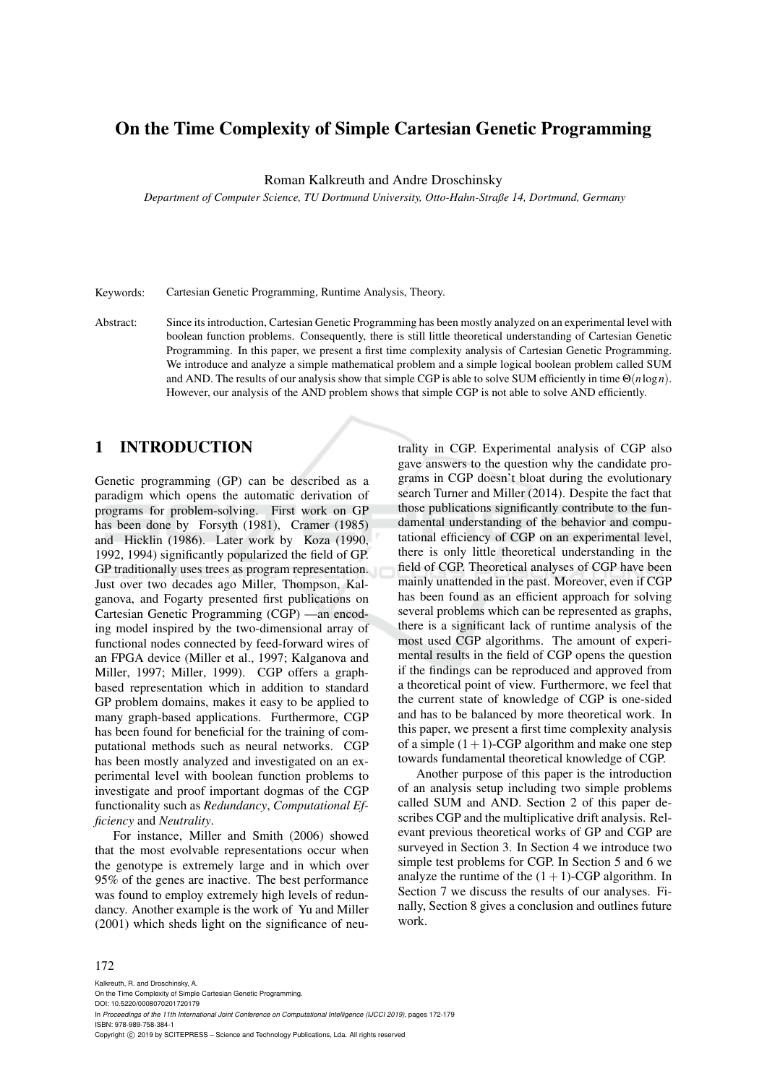## On the Time Complexity of Simple Cartesian Genetic Programming

Roman Kalkreuth and Andre Droschinsky

*Department of Computer Science, TU Dortmund University, Otto-Hahn-Straße 14, Dortmund, Germany*

Keywords: Cartesian Genetic Programming, Runtime Analysis, Theory.

Abstract: Since its introduction, Cartesian Genetic Programming has been mostly analyzed on an experimental level with boolean function problems. Consequently, there is still little theoretical understanding of Cartesian Genetic Programming. In this paper, we present a first time complexity analysis of Cartesian Genetic Programming. We introduce and analyze a simple mathematical problem and a simple logical boolean problem called SUM and AND. The results of our analysis show that simple CGP is able to solve SUM efficiently in time Θ(*n*log*n*). However, our analysis of the AND problem shows that simple CGP is not able to solve AND efficiently.

## 1 INTRODUCTION

Genetic programming (GP) can be described as a paradigm which opens the automatic derivation of programs for problem-solving. First work on GP has been done by Forsyth (1981), Cramer (1985) and Hicklin (1986). Later work by Koza (1990, 1992, 1994) significantly popularized the field of GP. GP traditionally uses trees as program representation. Just over two decades ago Miller, Thompson, Kalganova, and Fogarty presented first publications on Cartesian Genetic Programming (CGP) —an encoding model inspired by the two-dimensional array of functional nodes connected by feed-forward wires of an FPGA device (Miller et al., 1997; Kalganova and Miller, 1997; Miller, 1999). CGP offers a graphbased representation which in addition to standard GP problem domains, makes it easy to be applied to many graph-based applications. Furthermore, CGP has been found for beneficial for the training of computational methods such as neural networks. CGP has been mostly analyzed and investigated on an experimental level with boolean function problems to investigate and proof important dogmas of the CGP functionality such as *Redundancy*, *Computational Efficiency* and *Neutrality*.

For instance, Miller and Smith (2006) showed that the most evolvable representations occur when the genotype is extremely large and in which over 95% of the genes are inactive. The best performance was found to employ extremely high levels of redundancy. Another example is the work of Yu and Miller (2001) which sheds light on the significance of neu-

trality in CGP. Experimental analysis of CGP also gave answers to the question why the candidate programs in CGP doesn't bloat during the evolutionary search Turner and Miller (2014). Despite the fact that those publications significantly contribute to the fundamental understanding of the behavior and computational efficiency of CGP on an experimental level, there is only little theoretical understanding in the field of CGP. Theoretical analyses of CGP have been mainly unattended in the past. Moreover, even if CGP has been found as an efficient approach for solving several problems which can be represented as graphs, there is a significant lack of runtime analysis of the most used CGP algorithms. The amount of experimental results in the field of CGP opens the question if the findings can be reproduced and approved from a theoretical point of view. Furthermore, we feel that the current state of knowledge of CGP is one-sided and has to be balanced by more theoretical work. In this paper, we present a first time complexity analysis of a simple  $(1+1)$ -CGP algorithm and make one step towards fundamental theoretical knowledge of CGP.

Another purpose of this paper is the introduction of an analysis setup including two simple problems called SUM and AND. Section 2 of this paper describes CGP and the multiplicative drift analysis. Relevant previous theoretical works of GP and CGP are surveyed in Section 3. In Section 4 we introduce two simple test problems for CGP. In Section 5 and 6 we analyze the runtime of the  $(1 + 1)$ -CGP algorithm. In Section 7 we discuss the results of our analyses. Finally, Section 8 gives a conclusion and outlines future work.

#### 172

Kalkreuth, R. and Droschinsky, A. On the Time Complexity of Simple Cartesian Genetic Programming. DOI: 10.5220/0008070201720179 In *Proceedings of the 11th International Joint Conference on Computational Intelligence (IJCCI 2019)*, pages 172-179 ISBN: 978-989-758-384-1 Copyright (C) 2019 by SCITEPRESS - Science and Technology Publications, Lda. All rights reserved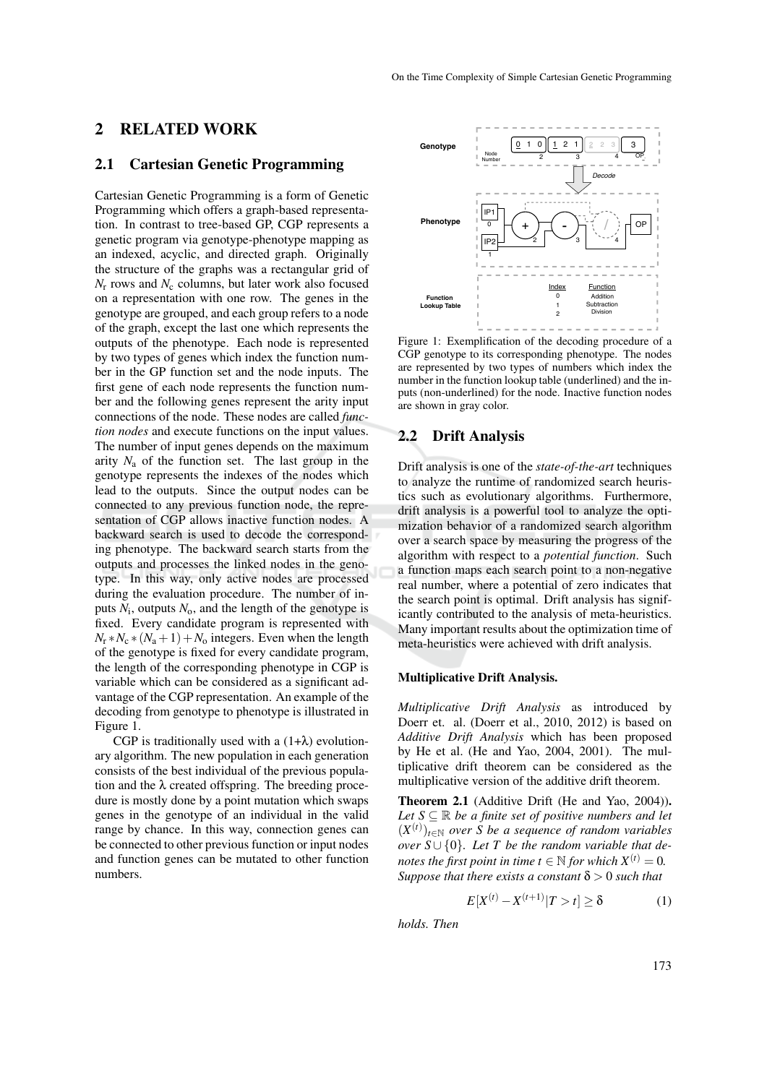### 2 RELATED WORK

### 2.1 Cartesian Genetic Programming

Cartesian Genetic Programming is a form of Genetic Programming which offers a graph-based representation. In contrast to tree-based GP, CGP represents a genetic program via genotype-phenotype mapping as an indexed, acyclic, and directed graph. Originally the structure of the graphs was a rectangular grid of  $N_r$  rows and  $N_c$  columns, but later work also focused on a representation with one row. The genes in the genotype are grouped, and each group refers to a node of the graph, except the last one which represents the outputs of the phenotype. Each node is represented by two types of genes which index the function number in the GP function set and the node inputs. The first gene of each node represents the function number and the following genes represent the arity input connections of the node. These nodes are called *function nodes* and execute functions on the input values. The number of input genes depends on the maximum arity  $N_a$  of the function set. The last group in the genotype represents the indexes of the nodes which lead to the outputs. Since the output nodes can be connected to any previous function node, the representation of CGP allows inactive function nodes. A backward search is used to decode the corresponding phenotype. The backward search starts from the outputs and processes the linked nodes in the genotype. In this way, only active nodes are processed during the evaluation procedure. The number of inputs  $N_i$ , outputs  $N_o$ , and the length of the genotype is fixed. Every candidate program is represented with  $N_r * N_c * (N_a + 1) + N_o$  integers. Even when the length of the genotype is fixed for every candidate program, the length of the corresponding phenotype in CGP is variable which can be considered as a significant advantage of the CGP representation. An example of the decoding from genotype to phenotype is illustrated in Figure 1.

CGP is traditionally used with a  $(1+\lambda)$  evolutionary algorithm. The new population in each generation consists of the best individual of the previous population and the  $\lambda$  created offspring. The breeding procedure is mostly done by a point mutation which swaps genes in the genotype of an individual in the valid range by chance. In this way, connection genes can be connected to other previous function or input nodes and function genes can be mutated to other function numbers.



Figure 1: Exemplification of the decoding procedure of a CGP genotype to its corresponding phenotype. The nodes are represented by two types of numbers which index the number in the function lookup table (underlined) and the inputs (non-underlined) for the node. Inactive function nodes are shown in gray color.

#### 2.2 Drift Analysis

Drift analysis is one of the *state-of-the-art* techniques to analyze the runtime of randomized search heuristics such as evolutionary algorithms. Furthermore, drift analysis is a powerful tool to analyze the optimization behavior of a randomized search algorithm over a search space by measuring the progress of the algorithm with respect to a *potential function*. Such a function maps each search point to a non-negative real number, where a potential of zero indicates that the search point is optimal. Drift analysis has significantly contributed to the analysis of meta-heuristics. Many important results about the optimization time of meta-heuristics were achieved with drift analysis.

#### Multiplicative Drift Analysis.

*Multiplicative Drift Analysis* as introduced by Doerr et. al. (Doerr et al., 2010, 2012) is based on *Additive Drift Analysis* which has been proposed by He et al. (He and Yao, 2004, 2001). The multiplicative drift theorem can be considered as the multiplicative version of the additive drift theorem.

Theorem 2.1 (Additive Drift (He and Yao, 2004)). *Let*  $S \subseteq \mathbb{R}$  *be a finite set of positive numbers and let*  $(X<sup>(t)</sup>)_{t \in \mathbb{N}}$  over S be a sequence of random variables *over*  $S \cup \{0\}$ *. Let* T be the random variable that de*notes the first point in time*  $t \in \mathbb{N}$  *for which*  $X^{(t)} = 0$ . *Suppose that there exists a constant*  $\delta > 0$  *such that* 

$$
E[X^{(t)} - X^{(t+1)} | T > t] \ge \delta
$$
 (1)

*holds. Then*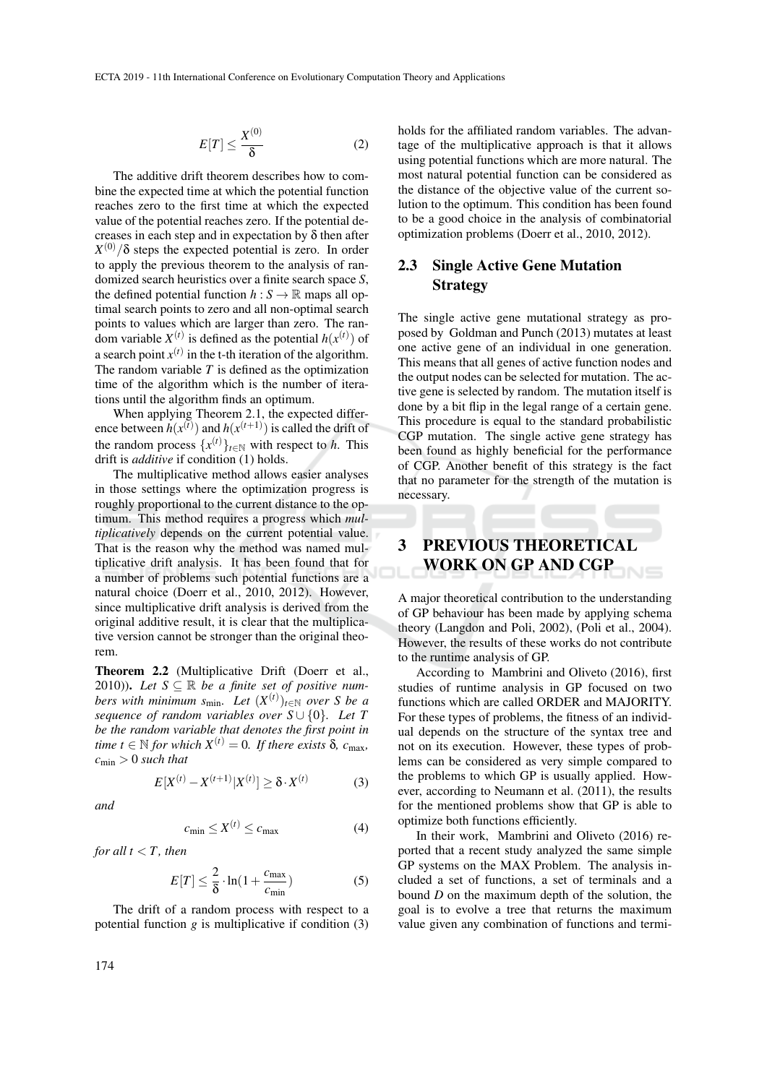$$
E[T] \le \frac{X^{(0)}}{\delta} \tag{2}
$$

The additive drift theorem describes how to combine the expected time at which the potential function reaches zero to the first time at which the expected value of the potential reaches zero. If the potential decreases in each step and in expectation by  $\delta$  then after  $X^{(0)}/\delta$  steps the expected potential is zero. In order to apply the previous theorem to the analysis of randomized search heuristics over a finite search space *S*, the defined potential function  $h : S \to \mathbb{R}$  maps all optimal search points to zero and all non-optimal search points to values which are larger than zero. The random variable  $X^{(t)}$  is defined as the potential  $h(x^{(t)})$  of a search point  $x^{(t)}$  in the t-th iteration of the algorithm. The random variable *T* is defined as the optimization time of the algorithm which is the number of iterations until the algorithm finds an optimum.

When applying Theorem 2.1, the expected difference between  $h(x^{(t)})$  and  $h(x^{(t+1)})$  is called the drift of the random process  $\{x^{(t)}\}_{t \in \mathbb{N}}$  with respect to *h*. This drift is *additive* if condition (1) holds.

The multiplicative method allows easier analyses in those settings where the optimization progress is roughly proportional to the current distance to the optimum. This method requires a progress which *multiplicatively* depends on the current potential value. That is the reason why the method was named multiplicative drift analysis. It has been found that for a number of problems such potential functions are a natural choice (Doerr et al., 2010, 2012). However, since multiplicative drift analysis is derived from the original additive result, it is clear that the multiplicative version cannot be stronger than the original theorem.

Theorem 2.2 (Multiplicative Drift (Doerr et al., 2010)). Let  $S \subseteq \mathbb{R}$  be a finite set of positive num*bers with minimum s*<sub>min</sub>. Let  $(X^{(t)})_{t \in \mathbb{N}}$  *over S be a sequence of random variables over S* ∪ {0}*. Let T be the random variable that denotes the first point in time t*  $\in$  N *for which*  $X^{(t)} = 0$ *. If there exists*  $\delta$ *, c*<sub>max</sub>*,*  $c_{\min} > 0$  *such that* 

$$
E[X^{(t)} - X^{(t+1)}|X^{(t)}] \ge \delta \cdot X^{(t)} \tag{3}
$$

*and*

$$
c_{\min} \le X^{(t)} \le c_{\max} \tag{4}
$$

*for all*  $t < T$ *, then* 

$$
E[T] \le \frac{2}{\delta} \cdot \ln(1 + \frac{c_{\text{max}}}{c_{\text{min}}})
$$
 (5)

The drift of a random process with respect to a potential function  $g$  is multiplicative if condition  $(3)$ 

holds for the affiliated random variables. The advantage of the multiplicative approach is that it allows using potential functions which are more natural. The most natural potential function can be considered as the distance of the objective value of the current solution to the optimum. This condition has been found to be a good choice in the analysis of combinatorial optimization problems (Doerr et al., 2010, 2012).

## 2.3 Single Active Gene Mutation Strategy

The single active gene mutational strategy as proposed by Goldman and Punch (2013) mutates at least one active gene of an individual in one generation. This means that all genes of active function nodes and the output nodes can be selected for mutation. The active gene is selected by random. The mutation itself is done by a bit flip in the legal range of a certain gene. This procedure is equal to the standard probabilistic CGP mutation. The single active gene strategy has been found as highly beneficial for the performance of CGP. Another benefit of this strategy is the fact that no parameter for the strength of the mutation is necessary.

# 3 PREVIOUS THEORETICAL WORK ON GP AND CGP

A major theoretical contribution to the understanding of GP behaviour has been made by applying schema theory (Langdon and Poli, 2002), (Poli et al., 2004). However, the results of these works do not contribute to the runtime analysis of GP.

According to Mambrini and Oliveto (2016), first studies of runtime analysis in GP focused on two functions which are called ORDER and MAJORITY. For these types of problems, the fitness of an individual depends on the structure of the syntax tree and not on its execution. However, these types of problems can be considered as very simple compared to the problems to which GP is usually applied. However, according to Neumann et al. (2011), the results for the mentioned problems show that GP is able to optimize both functions efficiently.

In their work, Mambrini and Oliveto (2016) reported that a recent study analyzed the same simple GP systems on the MAX Problem. The analysis included a set of functions, a set of terminals and a bound *D* on the maximum depth of the solution, the goal is to evolve a tree that returns the maximum value given any combination of functions and termi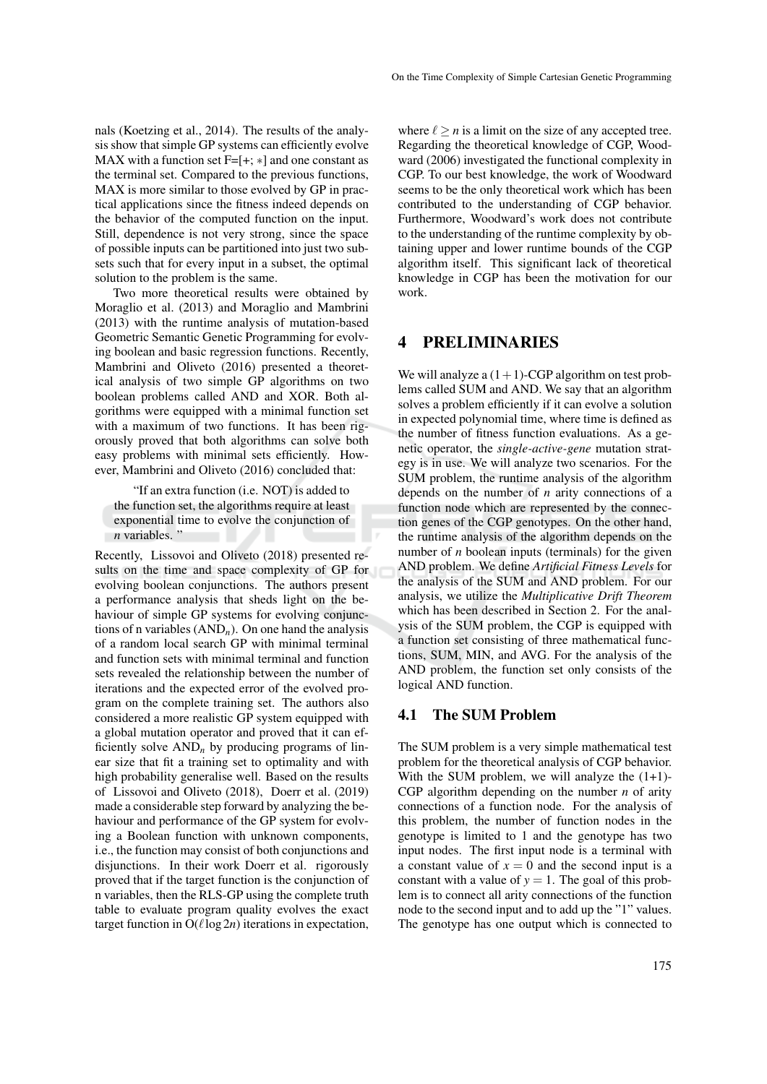nals (Koetzing et al., 2014). The results of the analysis show that simple GP systems can efficiently evolve MAX with a function set  $F=[+; *]$  and one constant as the terminal set. Compared to the previous functions, MAX is more similar to those evolved by GP in practical applications since the fitness indeed depends on the behavior of the computed function on the input. Still, dependence is not very strong, since the space of possible inputs can be partitioned into just two subsets such that for every input in a subset, the optimal solution to the problem is the same.

Two more theoretical results were obtained by Moraglio et al. (2013) and Moraglio and Mambrini (2013) with the runtime analysis of mutation-based Geometric Semantic Genetic Programming for evolving boolean and basic regression functions. Recently, Mambrini and Oliveto (2016) presented a theoretical analysis of two simple GP algorithms on two boolean problems called AND and XOR. Both algorithms were equipped with a minimal function set with a maximum of two functions. It has been rigorously proved that both algorithms can solve both easy problems with minimal sets efficiently. However, Mambrini and Oliveto (2016) concluded that:

"If an extra function (i.e. NOT) is added to the function set, the algorithms require at least exponential time to evolve the conjunction of *n* variables."

Recently, Lissovoi and Oliveto (2018) presented results on the time and space complexity of GP for evolving boolean conjunctions. The authors present a performance analysis that sheds light on the behaviour of simple GP systems for evolving conjunctions of n variables (AND*n*). On one hand the analysis of a random local search GP with minimal terminal and function sets with minimal terminal and function sets revealed the relationship between the number of iterations and the expected error of the evolved program on the complete training set. The authors also considered a more realistic GP system equipped with a global mutation operator and proved that it can efficiently solve  $AND<sub>n</sub>$  by producing programs of linear size that fit a training set to optimality and with high probability generalise well. Based on the results of Lissovoi and Oliveto (2018), Doerr et al. (2019) made a considerable step forward by analyzing the behaviour and performance of the GP system for evolving a Boolean function with unknown components, i.e., the function may consist of both conjunctions and disjunctions. In their work Doerr et al. rigorously proved that if the target function is the conjunction of n variables, then the RLS-GP using the complete truth table to evaluate program quality evolves the exact target function in  $O(\ell \log 2n)$  iterations in expectation,

where  $\ell \ge n$  is a limit on the size of any accepted tree. Regarding the theoretical knowledge of CGP, Woodward (2006) investigated the functional complexity in CGP. To our best knowledge, the work of Woodward seems to be the only theoretical work which has been contributed to the understanding of CGP behavior. Furthermore, Woodward's work does not contribute to the understanding of the runtime complexity by obtaining upper and lower runtime bounds of the CGP algorithm itself. This significant lack of theoretical knowledge in CGP has been the motivation for our work.

#### 4 PRELIMINARIES

We will analyze a  $(1+1)$ -CGP algorithm on test problems called SUM and AND. We say that an algorithm solves a problem efficiently if it can evolve a solution in expected polynomial time, where time is defined as the number of fitness function evaluations. As a genetic operator, the *single-active-gene* mutation strategy is in use. We will analyze two scenarios. For the SUM problem, the runtime analysis of the algorithm depends on the number of *n* arity connections of a function node which are represented by the connection genes of the CGP genotypes. On the other hand, the runtime analysis of the algorithm depends on the number of *n* boolean inputs (terminals) for the given AND problem. We define *Artificial Fitness Levels* for the analysis of the SUM and AND problem. For our analysis, we utilize the *Multiplicative Drift Theorem* which has been described in Section 2. For the analysis of the SUM problem, the CGP is equipped with a function set consisting of three mathematical functions, SUM, MIN, and AVG. For the analysis of the AND problem, the function set only consists of the logical AND function.

#### 4.1 The SUM Problem

The SUM problem is a very simple mathematical test problem for the theoretical analysis of CGP behavior. With the SUM problem, we will analyze the  $(1+1)$ -CGP algorithm depending on the number *n* of arity connections of a function node. For the analysis of this problem, the number of function nodes in the genotype is limited to 1 and the genotype has two input nodes. The first input node is a terminal with a constant value of  $x = 0$  and the second input is a constant with a value of  $y = 1$ . The goal of this problem is to connect all arity connections of the function node to the second input and to add up the "1" values. The genotype has one output which is connected to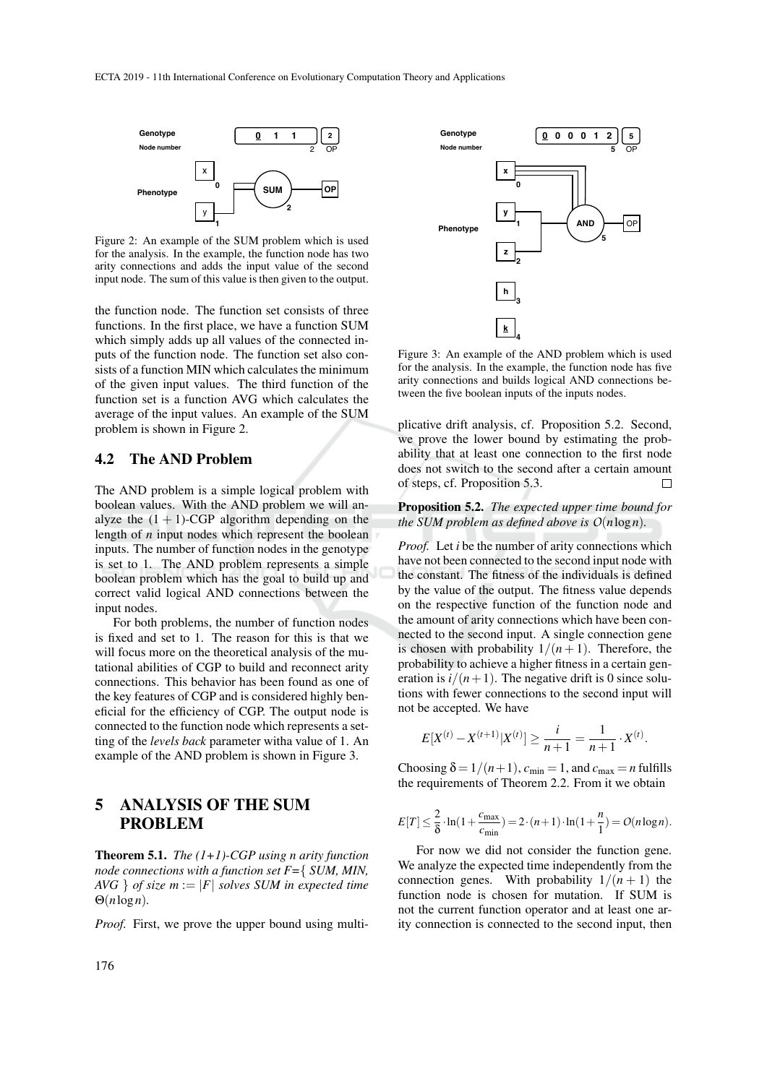

Figure 2: An example of the SUM problem which is used for the analysis. In the example, the function node has two arity connections and adds the input value of the second input node. The sum of this value is then given to the output.

the function node. The function set consists of three functions. In the first place, we have a function SUM which simply adds up all values of the connected inputs of the function node. The function set also consists of a function MIN which calculates the minimum of the given input values. The third function of the function set is a function AVG which calculates the average of the input values. An example of the SUM problem is shown in Figure 2.

### 4.2 The AND Problem

The AND problem is a simple logical problem with boolean values. With the AND problem we will analyze the  $(1 + 1)$ -CGP algorithm depending on the length of *n* input nodes which represent the boolean inputs. The number of function nodes in the genotype is set to 1. The AND problem represents a simple boolean problem which has the goal to build up and correct valid logical AND connections between the input nodes.

For both problems, the number of function nodes is fixed and set to 1. The reason for this is that we will focus more on the theoretical analysis of the mutational abilities of CGP to build and reconnect arity connections. This behavior has been found as one of the key features of CGP and is considered highly beneficial for the efficiency of CGP. The output node is connected to the function node which represents a setting of the *levels back* parameter witha value of 1. An example of the AND problem is shown in Figure 3.

# 5 ANALYSIS OF THE SUM PROBLEM

Theorem 5.1. *The (1+1)-CGP using n arity function node connections with a function set F=*{ *SUM, MIN,*  $AVG$  } *of size*  $m := |F|$  *solves SUM in expected time* Θ(*n*log*n*)*.*

*Proof.* First, we prove the upper bound using multi-



Figure 3: An example of the AND problem which is used for the analysis. In the example, the function node has five arity connections and builds logical AND connections between the five boolean inputs of the inputs nodes.

plicative drift analysis, cf. Proposition 5.2. Second, we prove the lower bound by estimating the probability that at least one connection to the first node does not switch to the second after a certain amount of steps, cf. Proposition 5.3.  $\Box$ 

Proposition 5.2. *The expected upper time bound for the SUM problem as defined above is*  $O(n \log n)$ *.* 

*Proof.* Let *i* be the number of arity connections which have not been connected to the second input node with the constant. The fitness of the individuals is defined by the value of the output. The fitness value depends on the respective function of the function node and the amount of arity connections which have been connected to the second input. A single connection gene is chosen with probability  $1/(n+1)$ . Therefore, the probability to achieve a higher fitness in a certain generation is  $i/(n+1)$ . The negative drift is 0 since solutions with fewer connections to the second input will not be accepted. We have

$$
E[X^{(t)} - X^{(t+1)}|X^{(t)}] \ge \frac{i}{n+1} = \frac{1}{n+1} \cdot X^{(t)}.
$$

Choosing  $\delta = 1/(n+1)$ ,  $c_{\min} = 1$ , and  $c_{\max} = n$  fulfills the requirements of Theorem 2.2. From it we obtain

$$
E[T] \leq \frac{2}{\delta} \cdot \ln(1 + \frac{c_{\max}}{c_{\min}}) = 2 \cdot (n+1) \cdot \ln(1 + \frac{n}{1}) = O(n \log n).
$$

For now we did not consider the function gene. We analyze the expected time independently from the connection genes. With probability  $1/(n + 1)$  the function node is chosen for mutation. If SUM is not the current function operator and at least one arity connection is connected to the second input, then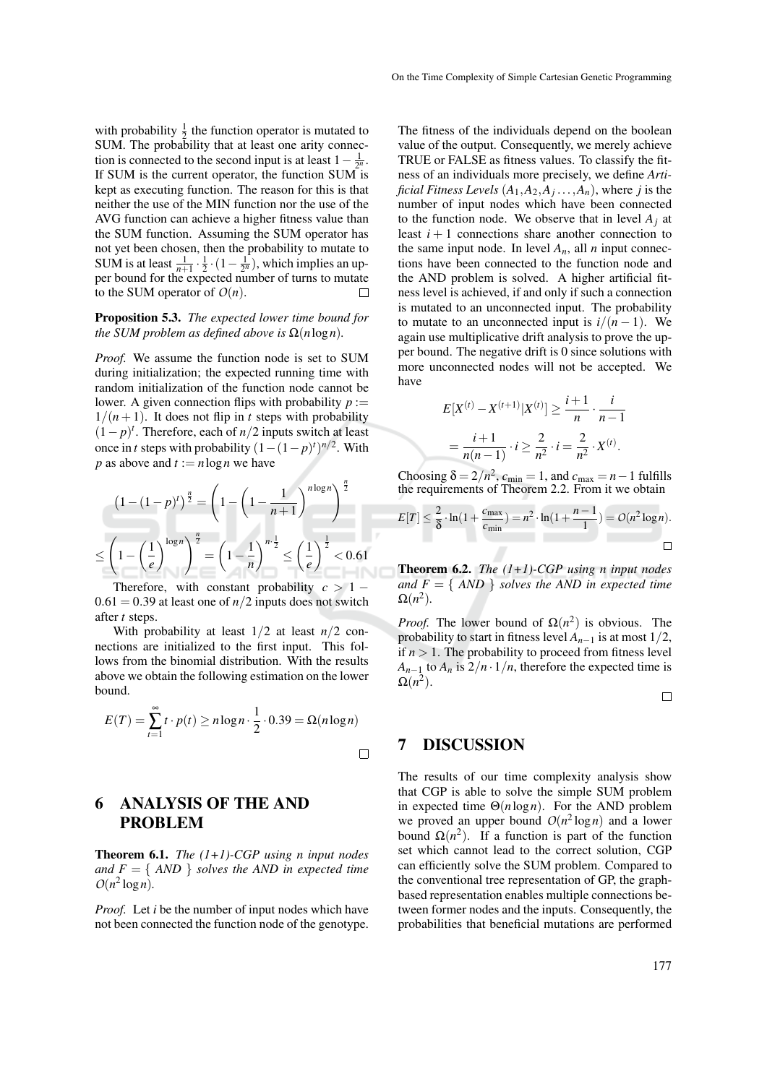with probability  $\frac{1}{2}$  the function operator is mutated to SUM. The probability that at least one arity connection is connected to the second input is at least  $1 - \frac{1}{2^n}$ . If SUM is the current operator, the function SUM is kept as executing function. The reason for this is that neither the use of the MIN function nor the use of the AVG function can achieve a higher fitness value than the SUM function. Assuming the SUM operator has not yet been chosen, then the probability to mutate to SUM is at least  $\frac{1}{n+1} \cdot \frac{1}{2} \cdot (1 - \frac{1}{2^n})$ , which implies an upper bound for the expected number of turns to mutate to the SUM operator of  $O(n)$ .  $\Box$ 

#### Proposition 5.3. *The expected lower time bound for the SUM problem as defined above is*  $\Omega(n \log n)$ *.*

*Proof.* We assume the function node is set to SUM during initialization; the expected running time with random initialization of the function node cannot be lower. A given connection flips with probability  $p :=$  $1/(n+1)$ . It does not flip in *t* steps with probability  $(1-p)^t$ . Therefore, each of *n*/2 inputs switch at least once in *t* steps with probability  $(1 - (1 - p)^t)^{n/2}$ . With *p* as above and  $t := n \log n$  we have

$$
(1 - (1 - p)^t)^{\frac{n}{2}} = \left(1 - \left(1 - \frac{1}{n+1}\right)^{n \log n}\right)^{\frac{n}{2}}
$$

$$
\leq \left(1 - \left(\frac{1}{e}\right)^{\log n}\right)^{\frac{n}{2}} = \left(1 - \frac{1}{n}\right)^{n \cdot \frac{1}{2}} \leq \left(\frac{1}{e}\right)^{\frac{1}{2}} < 0.61
$$

Therefore, with constant probability  $c > 1 0.61 = 0.39$  at least one of  $n/2$  inputs does not switch after *t* steps.

With probability at least  $1/2$  at least  $n/2$  connections are initialized to the first input. This follows from the binomial distribution. With the results above we obtain the following estimation on the lower bound.

$$
E(T) = \sum_{t=1}^{\infty} t \cdot p(t) \ge n \log n \cdot \frac{1}{2} \cdot 0.39 = \Omega(n \log n)
$$

# 6 ANALYSIS OF THE AND PROBLEM

Theorem 6.1. *The (1+1)-CGP using n input nodes and*  $F = \{ AND \}$  *solves the AND in expected time*  $O(n^2 \log n)$ .

*Proof.* Let *i* be the number of input nodes which have not been connected the function node of the genotype. The fitness of the individuals depend on the boolean value of the output. Consequently, we merely achieve TRUE or FALSE as fitness values. To classify the fitness of an individuals more precisely, we define *Artificial Fitness Levels* (*A*1,*A*2,*A<sup>j</sup>* ...,*An*), where *j* is the number of input nodes which have been connected to the function node. We observe that in level  $A_i$  at least  $i + 1$  connections share another connection to the same input node. In level  $A_n$ , all *n* input connections have been connected to the function node and the AND problem is solved. A higher artificial fitness level is achieved, if and only if such a connection is mutated to an unconnected input. The probability to mutate to an unconnected input is  $i/(n-1)$ . We again use multiplicative drift analysis to prove the upper bound. The negative drift is 0 since solutions with more unconnected nodes will not be accepted. We have

$$
E[X^{(t)} - X^{(t+1)}|X^{(t)}] \ge \frac{i+1}{n} \cdot \frac{i}{n-1}
$$
  
= 
$$
\frac{i+1}{n(n-1)} \cdot i \ge \frac{2}{n^2} \cdot i = \frac{2}{n^2} \cdot X^{(t)}.
$$

Choosing  $\delta = 2/n^2$ ,  $c_{\min} = 1$ , and  $c_{\max} = n - 1$  fulfills the requirements of Theorem 2.2. From it we obtain

$$
E[T] \le \frac{2}{\delta} \cdot \ln(1 + \frac{c_{\max}}{c_{\min}}) = n^2 \cdot \ln(1 + \frac{n-1}{1}) = O(n^2 \log n).
$$

Theorem 6.2. *The (1+1)-CGP using n input nodes and*  $F = \{ AND \}$  *solves the AND in expected time*  $\Omega(n^2)$ .

*Proof.* The lower bound of  $\Omega(n^2)$  is obvious. The probability to start in fitness level  $A_{n-1}$  is at most  $1/2$ , if  $n > 1$ . The probability to proceed from fitness level  $A_{n-1}$  to  $A_n$  is  $2/n \cdot 1/n$ , therefore the expected time is  $\Omega(n^2)$ .

 $\Box$ 

### 7 DISCUSSION

The results of our time complexity analysis show that CGP is able to solve the simple SUM problem in expected time Θ(*n*log*n*). For the AND problem we proved an upper bound  $O(n^2 \log n)$  and a lower bound  $\Omega(n^2)$ . If a function is part of the function set which cannot lead to the correct solution, CGP can efficiently solve the SUM problem. Compared to the conventional tree representation of GP, the graphbased representation enables multiple connections between former nodes and the inputs. Consequently, the probabilities that beneficial mutations are performed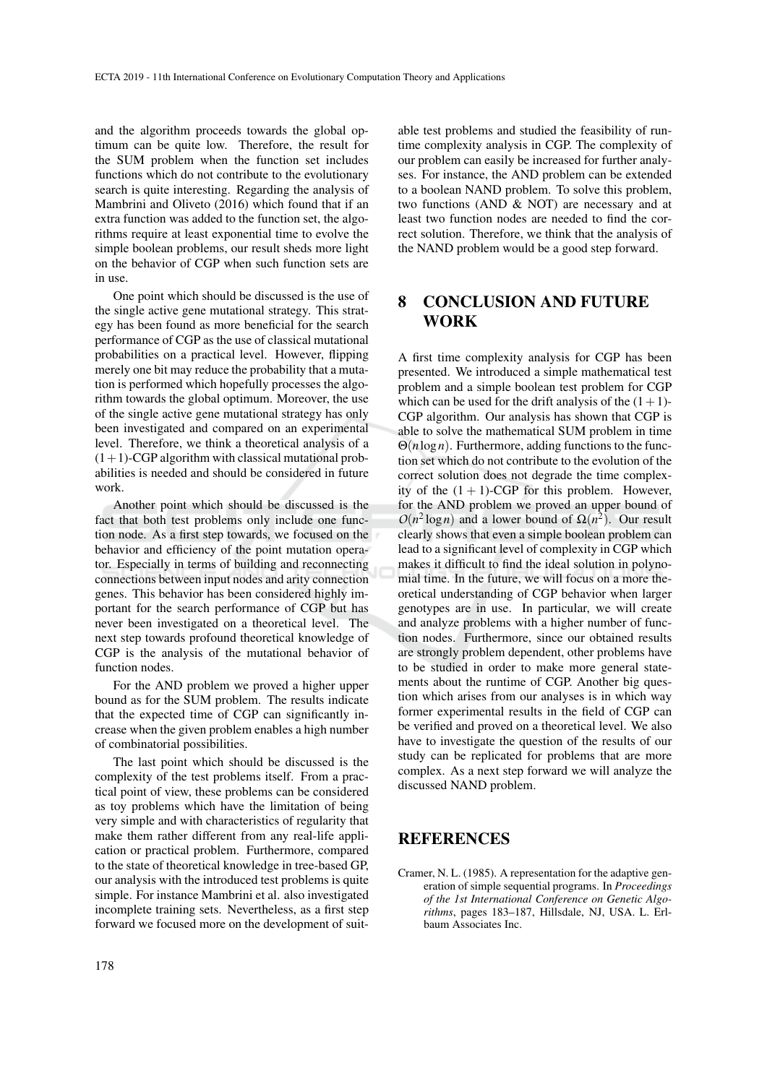and the algorithm proceeds towards the global optimum can be quite low. Therefore, the result for the SUM problem when the function set includes functions which do not contribute to the evolutionary search is quite interesting. Regarding the analysis of Mambrini and Oliveto (2016) which found that if an extra function was added to the function set, the algorithms require at least exponential time to evolve the simple boolean problems, our result sheds more light on the behavior of CGP when such function sets are in use.

One point which should be discussed is the use of the single active gene mutational strategy. This strategy has been found as more beneficial for the search performance of CGP as the use of classical mutational probabilities on a practical level. However, flipping merely one bit may reduce the probability that a mutation is performed which hopefully processes the algorithm towards the global optimum. Moreover, the use of the single active gene mutational strategy has only been investigated and compared on an experimental level. Therefore, we think a theoretical analysis of a  $(1+1)$ -CGP algorithm with classical mutational probabilities is needed and should be considered in future work.

Another point which should be discussed is the fact that both test problems only include one function node. As a first step towards, we focused on the behavior and efficiency of the point mutation operator. Especially in terms of building and reconnecting connections between input nodes and arity connection genes. This behavior has been considered highly important for the search performance of CGP but has never been investigated on a theoretical level. The next step towards profound theoretical knowledge of CGP is the analysis of the mutational behavior of function nodes.

For the AND problem we proved a higher upper bound as for the SUM problem. The results indicate that the expected time of CGP can significantly increase when the given problem enables a high number of combinatorial possibilities.

The last point which should be discussed is the complexity of the test problems itself. From a practical point of view, these problems can be considered as toy problems which have the limitation of being very simple and with characteristics of regularity that make them rather different from any real-life application or practical problem. Furthermore, compared to the state of theoretical knowledge in tree-based GP, our analysis with the introduced test problems is quite simple. For instance Mambrini et al. also investigated incomplete training sets. Nevertheless, as a first step forward we focused more on the development of suit-

able test problems and studied the feasibility of runtime complexity analysis in CGP. The complexity of our problem can easily be increased for further analyses. For instance, the AND problem can be extended to a boolean NAND problem. To solve this problem, two functions (AND & NOT) are necessary and at least two function nodes are needed to find the correct solution. Therefore, we think that the analysis of the NAND problem would be a good step forward.

## 8 CONCLUSION AND FUTURE WORK

A first time complexity analysis for CGP has been presented. We introduced a simple mathematical test problem and a simple boolean test problem for CGP which can be used for the drift analysis of the  $(1+1)$ -CGP algorithm. Our analysis has shown that CGP is able to solve the mathematical SUM problem in time Θ(*n*log*n*). Furthermore, adding functions to the function set which do not contribute to the evolution of the correct solution does not degrade the time complexity of the  $(1 + 1)$ -CGP for this problem. However, for the AND problem we proved an upper bound of  $O(n^2 \log n)$  and a lower bound of  $\Omega(n^2)$ . Our result clearly shows that even a simple boolean problem can lead to a significant level of complexity in CGP which makes it difficult to find the ideal solution in polynomial time. In the future, we will focus on a more theoretical understanding of CGP behavior when larger genotypes are in use. In particular, we will create and analyze problems with a higher number of function nodes. Furthermore, since our obtained results are strongly problem dependent, other problems have to be studied in order to make more general statements about the runtime of CGP. Another big question which arises from our analyses is in which way former experimental results in the field of CGP can be verified and proved on a theoretical level. We also have to investigate the question of the results of our study can be replicated for problems that are more complex. As a next step forward we will analyze the discussed NAND problem.

## REFERENCES

Cramer, N. L. (1985). A representation for the adaptive generation of simple sequential programs. In *Proceedings of the 1st International Conference on Genetic Algorithms*, pages 183–187, Hillsdale, NJ, USA. L. Erlbaum Associates Inc.